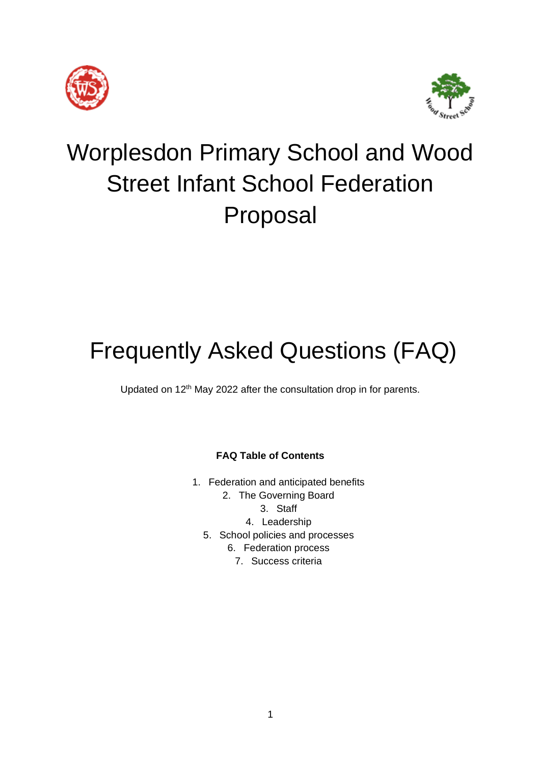



# Worplesdon Primary School and Wood Street Infant School Federation Proposal

# Frequently Asked Questions (FAQ)

Updated on 12<sup>th</sup> May 2022 after the consultation drop in for parents.

## **FAQ Table of Contents**

- 1. Federation and anticipated benefits
	- 2. The Governing Board
		- 3. Staff
		- 4. Leadership
	- 5. School policies and processes
		- 6. Federation process
			- 7. Success criteria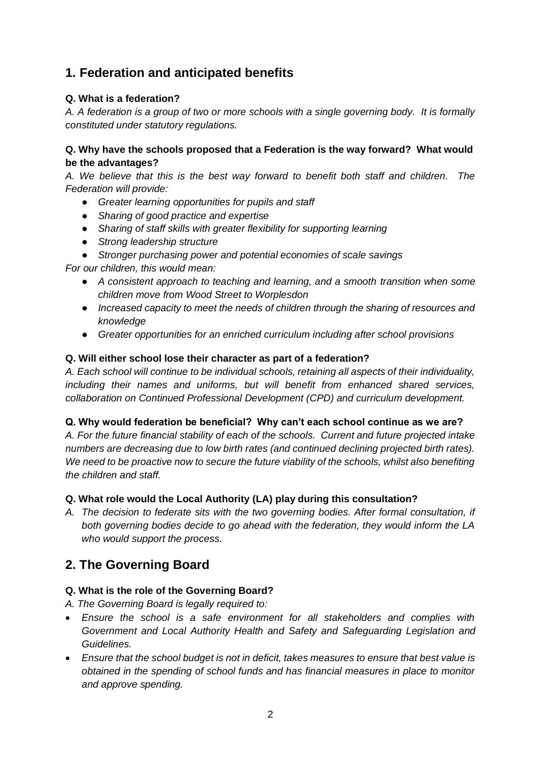# **1. Federation and anticipated benefits**

## **Q. What is a federation?**

*A. A federation is a group of two or more schools with a single governing body. It is formally constituted under statutory regulations.*

## **Q. Why have the schools proposed that a Federation is the way forward? What would be the advantages?**

*A. We believe that this is the best way forward to benefit both staff and children. The Federation will provide:*

- *Greater learning opportunities for pupils and staff*
- *Sharing of good practice and expertise*
- *Sharing of staff skills with greater flexibility for supporting learning*
- *Strong leadership structure*
- *Stronger purchasing power and potential economies of scale savings*

*For our children, this would mean:*

- *A consistent approach to teaching and learning, and a smooth transition when some children move from Wood Street to Worplesdon*
- *Increased capacity to meet the needs of children through the sharing of resources and knowledge*
- *Greater opportunities for an enriched curriculum including after school provisions*

## **Q. Will either school lose their character as part of a federation?**

*A. Each school will continue to be individual schools, retaining all aspects of their individuality, including their names and uniforms, but will benefit from enhanced shared services, collaboration on Continued Professional Development (CPD) and curriculum development.*

## **Q. Why would federation be beneficial? Why can't each school continue as we are?**

*A. For the future financial stability of each of the schools. Current and future projected intake numbers are decreasing due to low birth rates (and continued declining projected birth rates). We need to be proactive now to secure the future viability of the schools, whilst also benefiting the children and staff.*

## **Q. What role would the Local Authority (LA) play during this consultation?**

*A. The decision to federate sits with the two governing bodies. After formal consultation, if both governing bodies decide to go ahead with the federation, they would inform the LA who would support the process.*

# **2. The Governing Board**

## **Q. What is the role of the Governing Board?**

*A. The Governing Board is legally required to:*

- *Ensure the school is a safe environment for all stakeholders and complies with Government and Local Authority Health and Safety and Safeguarding Legislation and Guidelines.*
- *Ensure that the school budget is not in deficit, takes measures to ensure that best value is obtained in the spending of school funds and has financial measures in place to monitor and approve spending.*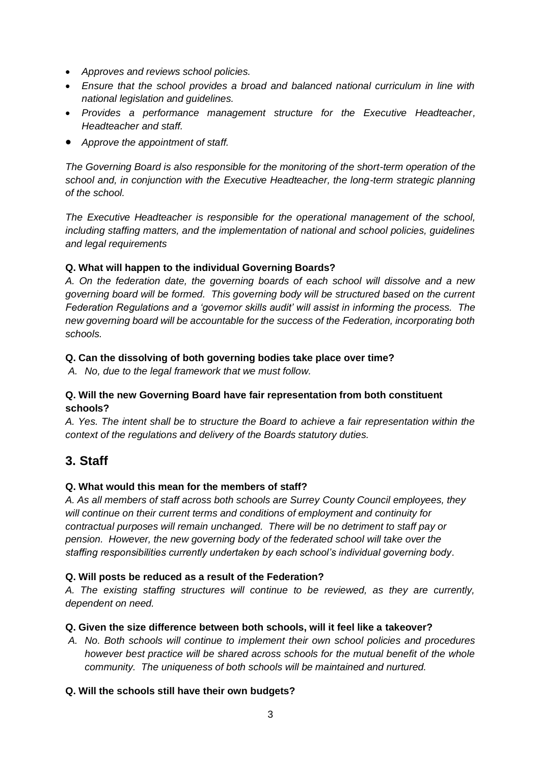- *Approves and reviews school policies.*
- *Ensure that the school provides a broad and balanced national curriculum in line with national legislation and guidelines.*
- *Provides a performance management structure for the Executive Headteacher, Headteacher and staff.*
- *Approve the appointment of staff.*

*The Governing Board is also responsible for the monitoring of the short-term operation of the school and, in conjunction with the Executive Headteacher, the long-term strategic planning of the school.*

*The Executive Headteacher is responsible for the operational management of the school, including staffing matters, and the implementation of national and school policies, guidelines and legal requirements*

## **Q. What will happen to the individual Governing Boards?**

*A. On the federation date, the governing boards of each school will dissolve and a new governing board will be formed. This governing body will be structured based on the current Federation Regulations and a 'governor skills audit' will assist in informing the process. The new governing board will be accountable for the success of the Federation, incorporating both schools.* 

## **Q. Can the dissolving of both governing bodies take place over time?**

*A. No, due to the legal framework that we must follow.*

## **Q. Will the new Governing Board have fair representation from both constituent schools?**

*A. Yes. The intent shall be to structure the Board to achieve a fair representation within the context of the regulations and delivery of the Boards statutory duties.* 

## **3. Staff**

## **Q. What would this mean for the members of staff?**

*A. As all members of staff across both schools are Surrey County Council employees, they will continue on their current terms and conditions of employment and continuity for contractual purposes will remain unchanged. There will be no detriment to staff pay or pension. However, the new governing body of the federated school will take over the staffing responsibilities currently undertaken by each school's individual governing body.*

## **Q. Will posts be reduced as a result of the Federation?**

*A. The existing staffing structures will continue to be reviewed, as they are currently, dependent on need.*

## **Q. Given the size difference between both schools, will it feel like a takeover?**

*A. No. Both schools will continue to implement their own school policies and procedures however best practice will be shared across schools for the mutual benefit of the whole community. The uniqueness of both schools will be maintained and nurtured.*

## **Q. Will the schools still have their own budgets?**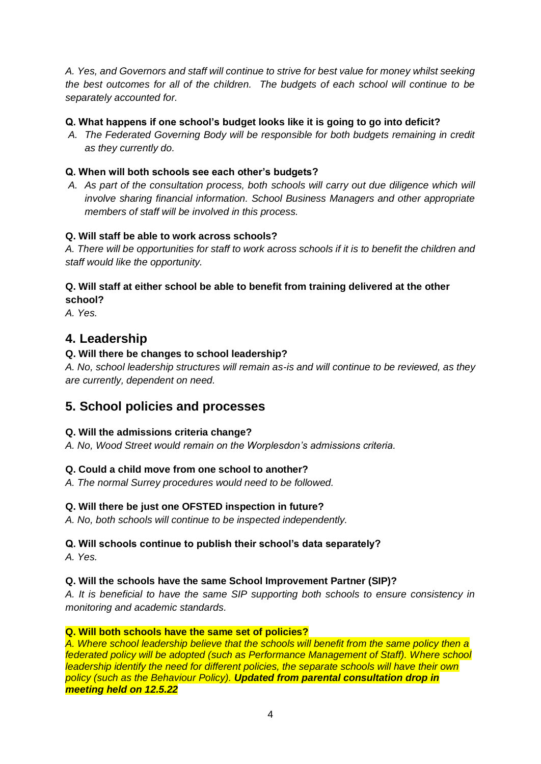*A. Yes, and Governors and staff will continue to strive for best value for money whilst seeking the best outcomes for all of the children. The budgets of each school will continue to be separately accounted for.*

## **Q. What happens if one school's budget looks like it is going to go into deficit?**

*A. The Federated Governing Body will be responsible for both budgets remaining in credit as they currently do.*

## **Q. When will both schools see each other's budgets?**

*A. As part of the consultation process, both schools will carry out due diligence which will involve sharing financial information. School Business Managers and other appropriate members of staff will be involved in this process.*

## **Q. Will staff be able to work across schools?**

*A. There will be opportunities for staff to work across schools if it is to benefit the children and staff would like the opportunity.*

## **Q. Will staff at either school be able to benefit from training delivered at the other school?**

*A. Yes.*

## **4. Leadership**

## **Q. Will there be changes to school leadership?**

*A. No, school leadership structures will remain as-is and will continue to be reviewed, as they are currently, dependent on need.* 

## **5. School policies and processes**

## **Q. Will the admissions criteria change?**

*A. No, Wood Street would remain on the Worplesdon's admissions criteria.*

## **Q. Could a child move from one school to another?**

*A. The normal Surrey procedures would need to be followed.*

## **Q. Will there be just one OFSTED inspection in future?**

*A. No, both schools will continue to be inspected independently.*

## **Q. Will schools continue to publish their school's data separately?**

*A. Yes.*

## **Q. Will the schools have the same School Improvement Partner (SIP)?**

*A. It is beneficial to have the same SIP supporting both schools to ensure consistency in monitoring and academic standards.*

## **Q. Will both schools have the same set of policies?**

*A. Where school leadership believe that the schools will benefit from the same policy then a federated policy will be adopted (such as Performance Management of Staff). Where school leadership identify the need for different policies, the separate schools will have their own policy (such as the Behaviour Policy). Updated from parental consultation drop in meeting held on 12.5.22*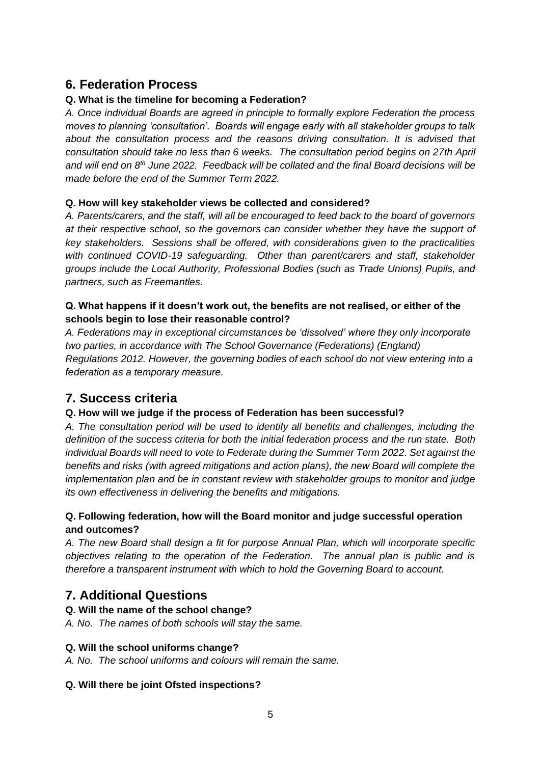## **6. Federation Process**

## **Q. What is the timeline for becoming a Federation?**

*A. Once individual Boards are agreed in principle to formally explore Federation the process moves to planning 'consultation'. Boards will engage early with all stakeholder groups to talk about the consultation process and the reasons driving consultation. It is advised that consultation should take no less than 6 weeks. The consultation period begins on 27th April and will end on 8th June 2022. Feedback will be collated and the final Board decisions will be made before the end of the Summer Term 2022.*

## **Q. How will key stakeholder views be collected and considered?**

*A. Parents/carers, and the staff, will all be encouraged to feed back to the board of governors at their respective school, so the governors can consider whether they have the support of key stakeholders. Sessions shall be offered, with considerations given to the practicalities with continued COVID-19 safeguarding. Other than parent/carers and staff, stakeholder groups include the Local Authority, Professional Bodies (such as Trade Unions) Pupils, and partners, such as Freemantles.*

## **Q. What happens if it doesn't work out, the benefits are not realised, or either of the schools begin to lose their reasonable control?**

*A. Federations may in exceptional circumstances be 'dissolved' where they only incorporate two parties, in accordance with The School Governance (Federations) (England) Regulations 2012. However, the governing bodies of each school do not view entering into a federation as a temporary measure.*

# **7. Success criteria**

## **Q. How will we judge if the process of Federation has been successful?**

*A. The consultation period will be used to identify all benefits and challenges, including the definition of the success criteria for both the initial federation process and the run state. Both individual Boards will need to vote to Federate during the Summer Term 2022. Set against the benefits and risks (with agreed mitigations and action plans), the new Board will complete the implementation plan and be in constant review with stakeholder groups to monitor and judge its own effectiveness in delivering the benefits and mitigations.*

## **Q. Following federation, how will the Board monitor and judge successful operation and outcomes?**

*A. The new Board shall design a fit for purpose Annual Plan, which will incorporate specific objectives relating to the operation of the Federation. The annual plan is public and is therefore a transparent instrument with which to hold the Governing Board to account.*

# **7. Additional Questions**

## **Q. Will the name of the school change?**

*A. No. The names of both schools will stay the same.*

## **Q. Will the school uniforms change?**

*A. No. The school uniforms and colours will remain the same.*

## **Q. Will there be joint Ofsted inspections?**